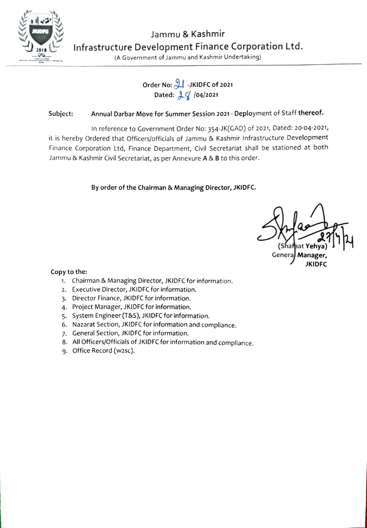

# Order No: JKIDFC of 2021 Dated:  $2\sqrt{}$  /04/2021

## Subject: Annual Darbar Move for Summer Session 2021 - Deployment of Staff thereof.

In reference to Government Order No: 354-JK(GAD) of 2021, Dated: 20-04-2021, it is hereby Ordered that Officers/officials of Jammu & Kashmir Infrastructure Development Finance Corporation Ltd, Finance Department, Civil Secretariat shall be stationed at both Jammu & Kashmir Civil Secretariat, as per Annexure A & B to this order.

By order of the Chairman & Managing Director, JKIDFC.

Genera, Manager JKIDFC

#### Copy to the:

- 1. Chairman & Managing Director, JKIDFC for information.
- 2. Executive Director, JKIDFC for information.
- 3. Director Finance, JKIDFC for information.
- 4. Project Manager, JKIDFC for information.
- 5. System Engineer (T&S), JKIDFC for information.
- 6. Nazarat Section, JKIDFC for information and compliance.
- 7. General Section, JKIDFC for information.
- 8. All Officers/Officials of JKIDFC for information and compliance. 9. Office Record (w2sc).
-